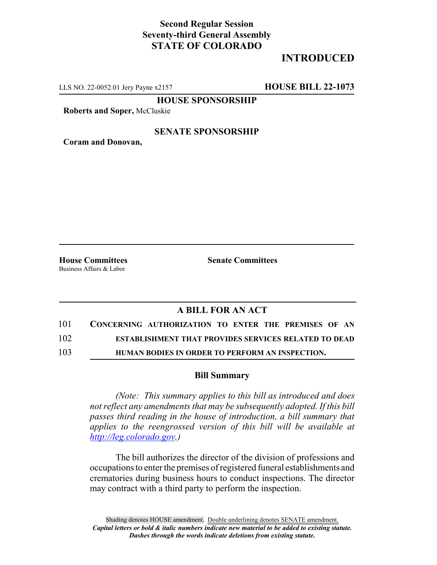## **Second Regular Session Seventy-third General Assembly STATE OF COLORADO**

# **INTRODUCED**

LLS NO. 22-0052.01 Jery Payne x2157 **HOUSE BILL 22-1073**

**HOUSE SPONSORSHIP**

**Roberts and Soper,** McCluskie

#### **SENATE SPONSORSHIP**

**Coram and Donovan,**

Business Affairs & Labor

**House Committees Senate Committees**

### **A BILL FOR AN ACT**

- 101 **CONCERNING AUTHORIZATION TO ENTER THE PREMISES OF AN** 102 **ESTABLISHMENT THAT PROVIDES SERVICES RELATED TO DEAD**
- 103 **HUMAN BODIES IN ORDER TO PERFORM AN INSPECTION.**

#### **Bill Summary**

*(Note: This summary applies to this bill as introduced and does not reflect any amendments that may be subsequently adopted. If this bill passes third reading in the house of introduction, a bill summary that applies to the reengrossed version of this bill will be available at http://leg.colorado.gov.)*

The bill authorizes the director of the division of professions and occupations to enter the premises of registered funeral establishments and crematories during business hours to conduct inspections. The director may contract with a third party to perform the inspection.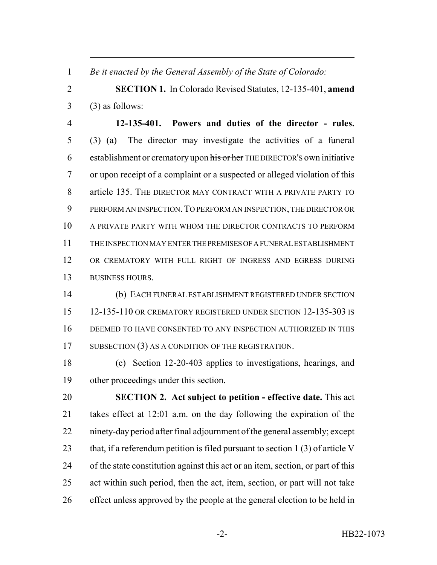*Be it enacted by the General Assembly of the State of Colorado:*

 **SECTION 1.** In Colorado Revised Statutes, 12-135-401, **amend**  $3 \qquad (3)$  as follows:

 **12-135-401. Powers and duties of the director - rules.** (3) (a) The director may investigate the activities of a funeral 6 establishment or crematory upon his or her THE DIRECTOR's own initiative or upon receipt of a complaint or a suspected or alleged violation of this article 135. THE DIRECTOR MAY CONTRACT WITH A PRIVATE PARTY TO PERFORM AN INSPECTION.TO PERFORM AN INSPECTION, THE DIRECTOR OR A PRIVATE PARTY WITH WHOM THE DIRECTOR CONTRACTS TO PERFORM THE INSPECTION MAY ENTER THE PREMISES OF A FUNERAL ESTABLISHMENT OR CREMATORY WITH FULL RIGHT OF INGRESS AND EGRESS DURING BUSINESS HOURS.

 (b) EACH FUNERAL ESTABLISHMENT REGISTERED UNDER SECTION 12-135-110 OR CREMATORY REGISTERED UNDER SECTION 12-135-303 IS DEEMED TO HAVE CONSENTED TO ANY INSPECTION AUTHORIZED IN THIS 17 SUBSECTION (3) AS A CONDITION OF THE REGISTRATION.

 (c) Section 12-20-403 applies to investigations, hearings, and other proceedings under this section.

 **SECTION 2. Act subject to petition - effective date.** This act takes effect at 12:01 a.m. on the day following the expiration of the ninety-day period after final adjournment of the general assembly; except 23 that, if a referendum petition is filed pursuant to section 1 (3) of article V of the state constitution against this act or an item, section, or part of this act within such period, then the act, item, section, or part will not take effect unless approved by the people at the general election to be held in